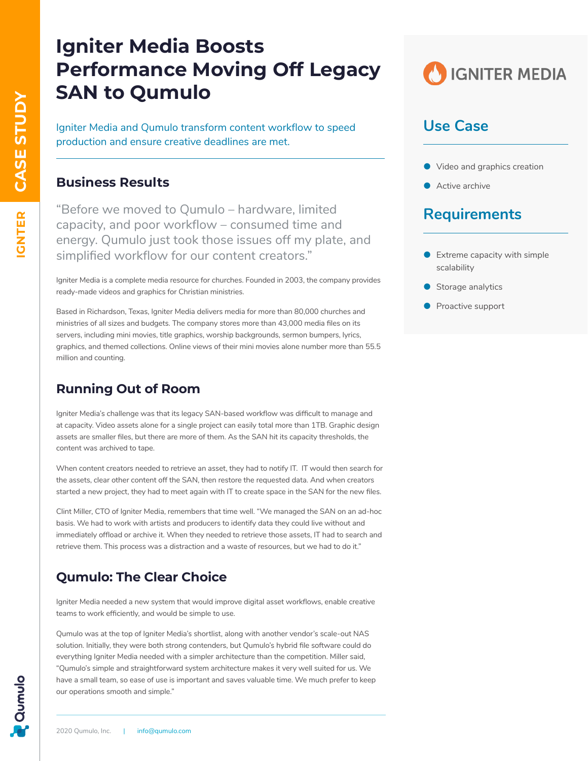# **Igniter Media Boosts Performance Moving Off Legacy SAN to Qumulo**

Igniter Media and Qumulo transform content workflow to speed production and ensure creative deadlines are met.

#### **Business Results**

"Before we moved to Qumulo – hardware, limited capacity, and poor workflow – consumed time and energy. Qumulo just took those issues off my plate, and simplified workflow for our content creators."

Igniter Media is a complete media resource for churches. Founded in 2003, the company provides ready-made videos and graphics for Christian ministries.

Based in Richardson, Texas, Igniter Media delivers media for more than 80,000 churches and ministries of all sizes and budgets. The company stores more than 43,000 media files on its servers, including mini movies, title graphics, worship backgrounds, sermon bumpers, lyrics, graphics, and themed collections. Online views of their mini movies alone number more than 55.5 million and counting.

#### **Running Out of Room**

Igniter Media's challenge was that its legacy SAN-based workflow was difficult to manage and at capacity. Video assets alone for a single project can easily total more than 1TB. Graphic design assets are smaller files, but there are more of them. As the SAN hit its capacity thresholds, the content was archived to tape.

When content creators needed to retrieve an asset, they had to notify IT. IT would then search for the assets, clear other content off the SAN, then restore the requested data. And when creators started a new project, they had to meet again with IT to create space in the SAN for the new files.

Clint Miller, CTO of Igniter Media, remembers that time well. "We managed the SAN on an ad-hoc basis. We had to work with artists and producers to identify data they could live without and immediately offload or archive it. When they needed to retrieve those assets, IT had to search and retrieve them. This process was a distraction and a waste of resources, but we had to do it."

#### **Qumulo: The Clear Choice**

Igniter Media needed a new system that would improve digital asset workflows, enable creative teams to work efficiently, and would be simple to use.

Qumulo was at the top of Igniter Media's shortlist, along with another vendor's scale-out NAS solution. Initially, they were both strong contenders, but Qumulo's hybrid file software could do everything Igniter Media needed with a simpler architecture than the competition. Miller said, "Qumulo's simple and straightforward system architecture makes it very well suited for us. We have a small team, so ease of use is important and saves valuable time. We much prefer to keep our operations smooth and simple."



### **Use Case**

- Video and graphics creation
- Active archive

## **Requirements**

- $\bullet$  Extreme capacity with simple scalability
- $\bullet$  Storage analytics
- **•** Proactive support